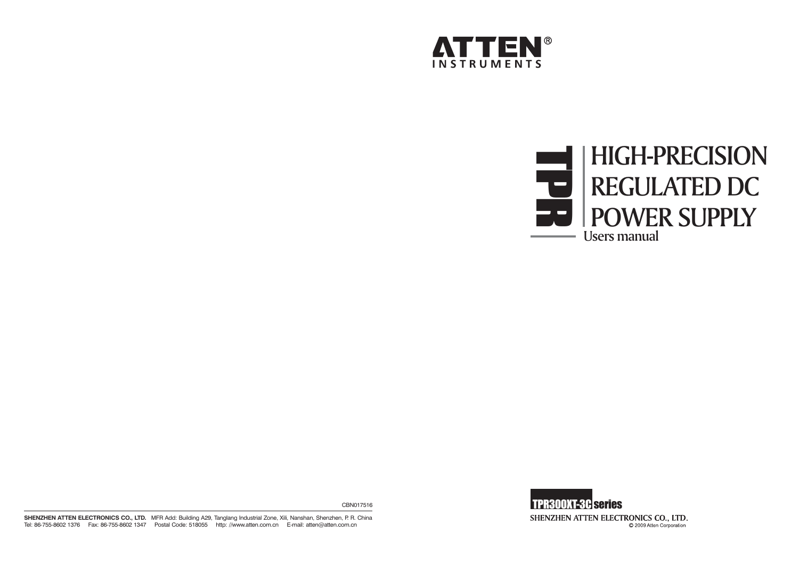





CBN017516

**SHENZHEN ATTEN ELECTRONICS CO., LTD.** MFR Add: Building A29, Tanglang Industrial Zone, Xili, Nanshan, Shenzhen, P. R. China Tel: 86-755-8602 1376 Fax: 86-755-8602 1347 Postal Code: 518055 http: //www.atten.com.cn E-mail: atten@atten.com.cn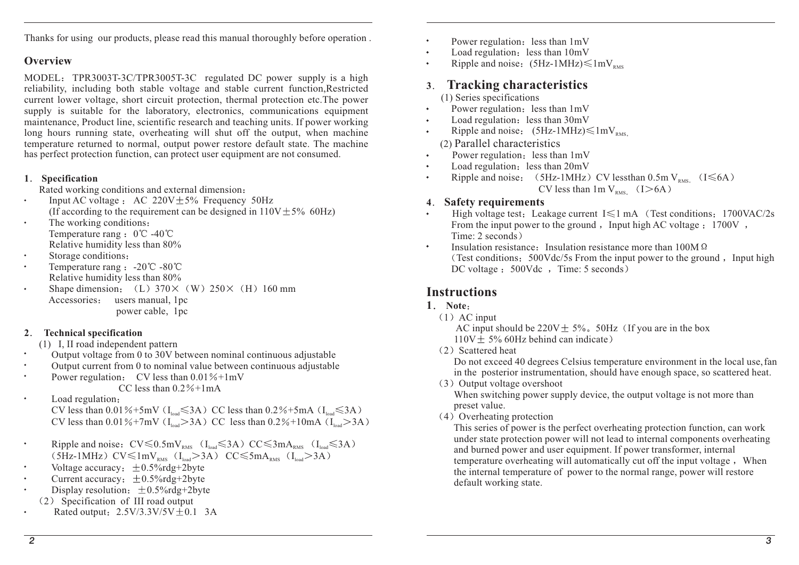Thanks for using our products, please read this manual thoroughly before operation .

#### **Overview**

MODEL: TPR3003T-3C/TPR3005T-3C regulated DC power supply is a high reliability, including both stable voltage and stable current function,Restricted current lower voltage, short circuit protection, thermal protection etc.The power supply is suitable for the laboratory, electronics, communications equipment maintenance, Product line, scientific research and teaching units. If power working long hours running state, overheating will shut off the output, when machine temperature returned to normal, output power restore default state. The machine has perfect protection function, can protect user equipment are not consumed.

#### **1 Specification**

Rated working conditions and external dimension:

- Input AC voltage : AC  $220V + 5\%$  Frequency 50Hz  $\bullet$ (If according to the requirement can be designed in  $110V \pm 5\%$  60Hz)
- The working conditions  $\bullet$ Temperature rang  $: 0^{\circ}$ C -40 $^{\circ}$ C Relative humidity less than 80%
- Storage conditions:
- Temperature rang :  $-20^{\circ}\text{C} 80^{\circ}\text{C}$ Relative humidity less than 80%
- Shape dimension:  $(L) 370 \times (W) 250 \times (H) 160$  mm Accessories: users manual, 1pc power cable, 1pc

#### **2 Technical specification**

- (1) I, II road independent pattern
- Output voltage from  $\theta$  to 30V between nominal continuous adjustable
- Output current from 0 to nominal value between continuous adjustable
- Power regulation: CV less than  $0.01\% + 1mV$ CC less than  $0.2\% + 1mA$
- $\bullet$ Load regulation CV less than 0.01%+5mV ( $I_{load} \leq 3A$ ) CC less than 0.2%+5mA ( $I_{load} \leq 3A$ ) CV less than  $0.01\% + 7mV$  (I<sub>toad</sub> > 3A) CC less than  $0.2\% + 10mA$  (I<sub>toad</sub> > 3A  $_{\text{load}}$  211) CC 1033 than 0.270 TOMIT Cl<sub>load</sub>
- $\bullet$ Ripple and noise:  $CV \le 0.5mV<sub>RMS</sub>$  (I<sub>load</sub>  $\le 3A$ )  $CC \le 3mA<sub>RMS</sub>$  (I<sub>load</sub>  $\le 3A$ ) 5Hz-1MHz)  $CV \le 1 mV_{\text{PMS}}$  ( $I_{\text{load}} > 3A$ )  $CC \le 5 mA_{\text{PMS}}$  ( $I_{\text{load}} > 3A$ RMS  $\mathcal{L}_{\text{load}}$   $\mathcal{L}_{\text{max}}$   $\mathcal{L}_{\text{max}}$   $\mathcal{L}_{\text{load}}$
- Voltage accuracy:  $\pm 0.5\%$ rdg+2byte
- Current accuracy:  $\pm 0.5\%$ rdg+2byte
- Display resolution:  $\pm 0.5\%$ rdg+2byte
- 2 Specification of III road output
- Rated output:  $2.5V/3.3V/5V \pm 0.1$  3A
- Power regulation: less than  $1mV$
- $\bullet$ Load regulation: less than  $10mV$
- $\bullet$ Ripple and noise:  $(5Hz-1MHz) \leq 1mV_{RMS}$

#### **3Tracking characteristics**

- (1) Series specifications
- Power regulation: less than  $1mV$  $\bullet$
- Load regulation: less than  $30mV$
- $\bullet$ Ripple and noise:  $(5Hz-1MHz) \leq 1mV_{RMS}$
- 2) ( Parallel characteristics
- Power regulation: less than  $1mV$  $\bullet$
- Load regulation: less than  $20mV$  $\bullet$
- $\bullet$ Ripple and noise:  $(5Hz-1MHz)$  CV lessthan 0.5m V<sub>RMS.</sub>  $(1\leq6A)$ CV less than  $1mV_{RMS}$  (I > 6A

### **4 Safety requirements**

- High voltage test: Leakage current  $I \le 1$  mA (Test conditions: 1700VAC/2s) From the input power to the ground , Input high AC voltage  $: 1700V$ , Time: 2 seconds)
- $\bullet$ Insulation resistance: Insulation resistance more than  $100M\Omega$ (Test conditions:  $500Vdc/5s$  From the input power to the ground, Input high DC voltage : 500Vdc , Time: 5 seconds)

# **Instructions**

### **Note1**

 $(1)$  AC input

AC input should be  $220V \pm 5\%$ . 50Hz (If you are in the box  $110V \pm 5\%$  60Hz behind can indicate)

2 Scattered heat

Do not exceed 40 degrees Celsius temperature environment in the local use,fan in the posterior instrumentation, should have enough space, so scattered heat.

- 3 Output voltage overshoot When switching power supply device, the output voltage is not more than prese<sup>t</sup> value.
- 4 Overheating protection

This series of power is the perfect overheating protection function, can work under state protection power will not lead to internal components overheating and burned power and user equipment. If power transformer, internal temperature overheating will automatically cut off the input voltage, When the internal temperature of power to the normal range, power will restore default working state.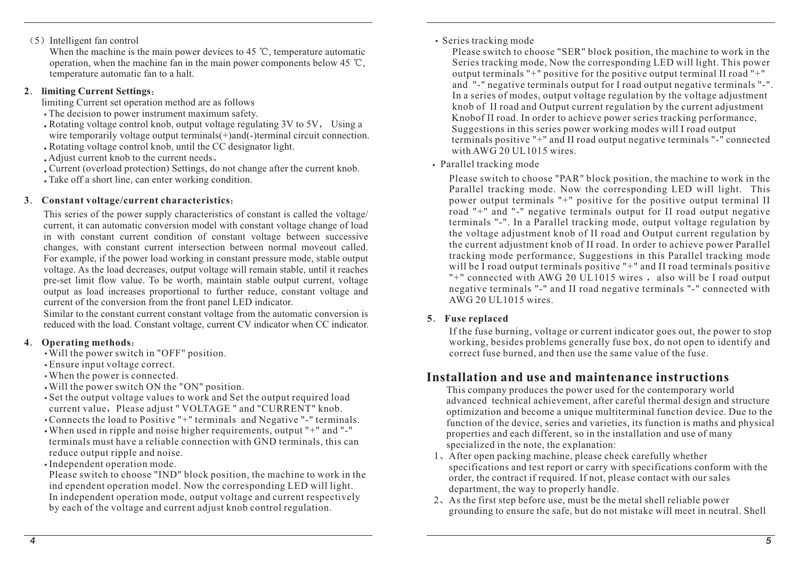# 5 Intelligent fan control

When the machine is the main power devices to 45  $\degree$ C, temperature automatic operation, when the machine fan in the main power components below 45  $\degree$ C. temperature automatic fan to <sup>a</sup> halt.

#### **2 limiting Current Settings**

limiting Current set operation method are as follows

- The decision to power instrument maximum safety.
- $\bullet$  Rotating voltage control knob, output voltage regulating 3V to 5V, Using a wire temporarily voltage output terminals(+)and(-)terminal circuit connection.
- Rotating voltage control knob, until the CC designator light.
- Adjust current knob to the current needs.
- Current (overload protection) Settings, do not change after the current knob.
- Take off <sup>a</sup> short line, can enter working condition.

#### **3 Constant voltage/current characteristics**

This series of the power supply characteristics of constant is called the voltage/ current, it can automatic conversion model with constant voltage change of load in with constant current condition of constant voltage between successive changes, with constant current intersection between normal moveout called. For example, if the power load working in constant pressure mode, stable output voltage. As the load decreases, output voltage will remain stable, until it reaches pre-se<sup>t</sup> limit flow value. To be worth, maintain stable output current, voltage output as load increases proportional to further reduce, constant voltage and current of the conversion from the front panel LED indicator.

Similar to the constant current constant voltage from the automatic conversion is reduced with the load. Constant voltage, current CV indicator when CC indicator.

#### **4 Operating methods**

- Will the power switch in "OFF" position.
- Ensure input voltage correct.
- When the power is connected.
- Will the power switch ON the "ON" position.
- Set the output voltage values to work and Set the output required load current value, Please adjust " VOLTAGE " and "CURRENT" knob.
- Connects the load to Positive "+" terminals and Negative "-" terminals.
- When used in ripple and noise higher requirements, output "+" and "-" terminals must have <sup>a</sup> reliable connection with GND terminals, this can reduce output ripple and noise.
- Independent operation mode.

Please switch to choose "IND" block position, the machine to work in the ind ependent operation model. Now the corresponding LED will light. In independent operation mode, output voltage and current respectively by each of the voltage and current adjust knob control regulation.

#### Series tracking mode

Knobof II road. In order to achieve power series tracking performance, Suggestions in this series power working modes will I road output terminals positive "+" and II road output negative terminals "-" connected with AWG 20 UL1015 wires. Please switch to choose "SER" block position, the machine to work in the Series tracking mode, Now the corresponding LED will light. This power output terminals "+" positive for the positive output terminal II road "+" and "-" negative terminals output for I road output negative terminals "-". In <sup>a</sup> series of modes, output voltage regulation by the voltage adjustment knob of II road and Output current regulation by the current adjustment

#### Parallel tracking mode

Please switch to choose "PAR" block position, the machine to work in the Parallel tracking mode. Now the corresponding LED will light. This power output terminals "+" positive for the positive output terminal II road "+" and "-" negative terminals output for II road output negative terminals "-". In <sup>a</sup> Parallel tracking mode, output voltage regulation by the voltage adjustment knob of II road and Output current regulation by the current adjustment knob of II road. In order to achieve power Parallel tracking mode performance, Suggestions in this Parallel tracking mode will be I road output terminals positive "+" and II road terminals positive "+" connected with AWG 20 UL1015 wires, also will be I road output negative terminals "-" and II road negative terminals "-" connected with AWG 20 UL1015 wires.

#### **5 Fuse replaced**

If the fuse burning, voltage or current indicator goes out, the power to stop working, besides problems generally fuse box, do not open to identify and correct fuse burned, and then use the same value of the fuse.

# **Installation and use and maintenance instructions**

This company produces the power used for the contemporary world advanced technical achievement, after careful thermal design and structure optimization and become <sup>a</sup> unique multiterminal function device. Due to the function of the device, series and varieties, its function is maths and physical properties and each different, so in the installation and use of many specialized in the note, the explanation:

- 1 After open packing machine, please check carefully whether specifications and test repor<sup>t</sup> or carry with specifications conform with the order, the contract if required. If not, please contact with our sales department, the way to properly handle.
- 2 As the first step before use, must be the metal shell reliable power grounding to ensure the safe, but do not mistake will meet in neutral. Shell